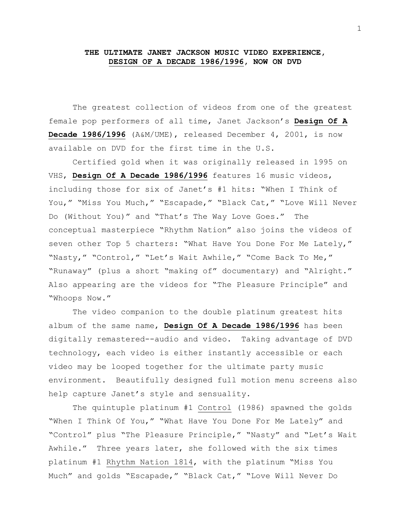## **THE ULTIMATE JANET JACKSON MUSIC VIDEO EXPERIENCE, DESIGN OF A DECADE 1986/1996, NOW ON DVD**

The greatest collection of videos from one of the greatest female pop performers of all time, Janet Jackson's **Design Of A Decade 1986/1996** (A&M/UME), released December 4, 2001, is now available on DVD for the first time in the U.S.

Certified gold when it was originally released in 1995 on VHS, **Design Of A Decade 1986/1996** features 16 music videos, including those for six of Janet's #1 hits: "When I Think of You," "Miss You Much," "Escapade," "Black Cat," "Love Will Never Do (Without You)" and "That's The Way Love Goes." The conceptual masterpiece "Rhythm Nation" also joins the videos of seven other Top 5 charters: "What Have You Done For Me Lately," "Nasty," "Control," "Let's Wait Awhile," "Come Back To Me," "Runaway" (plus a short "making of" documentary) and "Alright." Also appearing are the videos for "The Pleasure Principle" and "Whoops Now."

The video companion to the double platinum greatest hits album of the same name, **Design Of A Decade 1986/1996** has been digitally remastered--audio and video. Taking advantage of DVD technology, each video is either instantly accessible or each video may be looped together for the ultimate party music environment. Beautifully designed full motion menu screens also help capture Janet's style and sensuality.

The quintuple platinum #1 Control (1986) spawned the golds "When I Think Of You," "What Have You Done For Me Lately" and "Control" plus "The Pleasure Principle," "Nasty" and "Let's Wait Awhile." Three years later, she followed with the six times platinum #1 Rhythm Nation 1814, with the platinum "Miss You Much" and golds "Escapade," "Black Cat," "Love Will Never Do